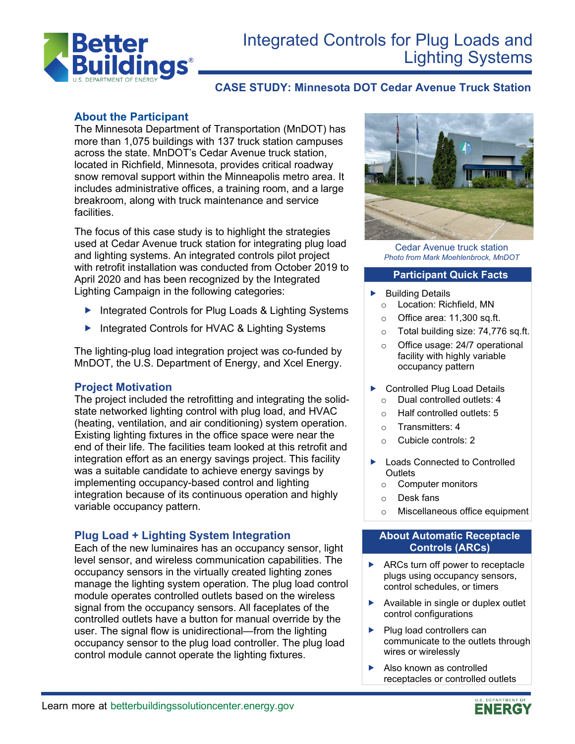

# Integrated Controls for Plug Loads and Lighting Systems

# **CASE STUDY: Minnesota DOT Cedar Avenue Truck Station**

## **About the Participant**

The Minnesota Department of Transportation (MnDOT) has more than 1,075 buildings with 137 truck station campuses across the state. MnDOT's Cedar Avenue truck station, located in Richfield, Minnesota, provides critical roadway snow removal support within the Minneapolis metro area. It includes administrative offices, a training room, and a large breakroom, along with truck maintenance and service facilities.

The focus of this case study is to highlight the strategies used at Cedar Avenue truck station for integrating plug load and lighting systems. An integrated controls pilot project with retrofit installation was conducted from October 2019 to April 2020 and has been recognized by the Integrated Lighting Campaign in the following categories:

- Integrated Controls for Plug Loads & Lighting Systems
- ▶ Integrated Controls for HVAC & Lighting Systems

The lighting-plug load integration project was co-funded by MnDOT, the U.S. Department of Energy, and Xcel Energy.

#### **Project Motivation**

The project included the retrofitting and integrating the solidstate networked lighting control with plug load, and HVAC (heating, ventilation, and air conditioning) system operation. Existing lighting fixtures in the office space were near the end of their life. The facilities team looked at this retrofit and integration effort as an energy savings project. This facility was a suitable candidate to achieve energy savings by implementing occupancy-based control and lighting integration because of its continuous operation and highly variable occupancy pattern.

## **Plug Load + Lighting System Integration**

Each of the new luminaires has an occupancy sensor, light level sensor, and wireless communication capabilities. The occupancy sensors in the virtually created lighting zones manage the lighting system operation. The plug load control module operates controlled outlets based on the wireless signal from the occupancy sensors. All faceplates of the controlled outlets have a button for manual override by the user. The signal flow is unidirectional—from the lighting occupancy sensor to the plug load controller. The plug load control module cannot operate the lighting fixtures.



Cedar Avenue truck station *Photo from Mark Moehlenbrock, MnDOT*

#### **Participant Quick Facts**

- $\blacktriangleright$  Building Details
	- o Location: Richfield, MN
	- o Office area: 11,300 sq.ft.
	- o Total building size: 74,776 sq.ft.
	- o Office usage: 24/7 operational facility with highly variable occupancy pattern
- ▶ Controlled Plug Load Details o Dual controlled outlets: 4
	- o Half controlled outlets: 5
	- o Transmitters: 4
	- o Cubicle controls: 2
- ▶ Loads Connected to Controlled **Outlets** 
	- o Computer monitors
	- o Desk fans
	- o Miscellaneous office equipment

#### **About Automatic Receptacle Controls (ARCs)**

- ▶ ARCs turn off power to receptacle plugs using occupancy sensors, control schedules, or timers
- Available in single or duplex outlet control configurations
- $\blacktriangleright$  Plug load controllers can communicate to the outlets through wires or wirelessly
- Also known as controlled receptacles or controlled outlets